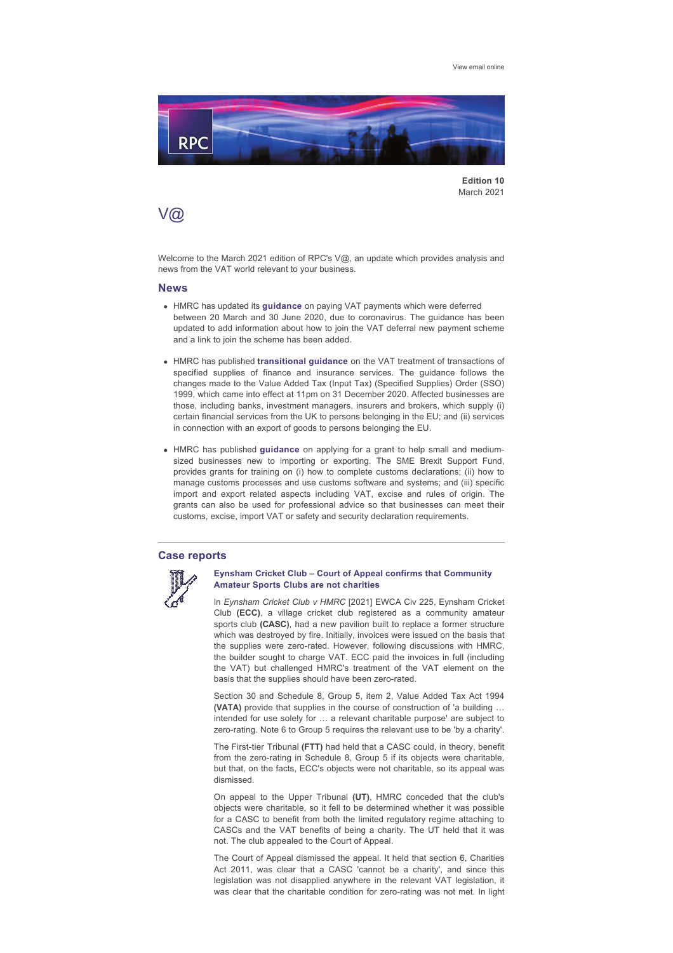[View email online](https://rpc.vuturevx.com/API/Print/Preview/Screen?url=https%3a%2f%2fsites-rpc.vuturevx.com%2f71%2f2884%2fcompose-email%2frpc-s-v----key-developments-in-the-vat-world-that-may-impact-your-business.asp%3fwidth%3d1024#)



**Edition 10** March 2021

# V@

Welcome to the March 2021 edition of RPC's V@, an update which provides analysis and news from the VAT world relevant to your business.

#### **News**

- **.** HMRC has updated its [guidance](https://www.gov.uk/guidance/deferral-of-vat-payments-due-to-coronavirus-covid-19) on paying VAT payments which were deferred between 20 March and 30 June 2020, due to coronavirus. The guidance has been updated to add information about how to join the VAT deferral new payment scheme and a link to join the scheme has been added.
- **.** HMRC has published [transitional guidance](https://www.gov.uk/guidance/transitional-guidance-for-vat-specified-supplies) on the VAT treatment of transactions of specified supplies of finance and insurance services. The guidance follows the changes made to the Value Added Tax (Input Tax) (Specified Supplies) Order (SSO) 1999, which came into effect at 11pm on 31 December 2020. Affected businesses are those, including banks, investment managers, insurers and brokers, which supply (i) certain financial services from the UK to persons belonging in the EU; and (ii) services in connection with an export of goods to persons belonging the EU.
- <sup>l</sup> HMRC has published **[guidance](https://www.gov.uk/guidance/grants-to-help-small-and-medium-sized-businesses-new-to-importing-or-exporting)** on applying for a grant to help small and mediumsized businesses new to importing or exporting. The SME Brexit Support Fund, provides grants for training on (i) how to complete customs declarations; (ii) how to manage customs processes and use customs software and systems; and (iii) specific import and export related aspects including VAT, excise and rules of origin. The grants can also be used for professional advice so that businesses can meet their customs, excise, import VAT or safety and security declaration requirements.

### **Case reports**



#### **Eynsham Cricket Club – Court of Appeal confirms that Community Amateur Sports Clubs are not charities**

In *Eynsham Cricket Club v HMRC* [2021] EWCA Civ 225, Eynsham Cricket Club **(ECC)**, a village cricket club registered as a community amateur sports club **(CASC)**, had a new pavilion built to replace a former structure which was destroyed by fire. Initially, invoices were issued on the basis that the supplies were zero-rated. However, following discussions with HMRC, the builder sought to charge VAT. ECC paid the invoices in full (including the VAT) but challenged HMRC's treatment of the VAT element on the basis that the supplies should have been zero-rated.

Section 30 and Schedule 8, Group 5, item 2, Value Added Tax Act 1994 **(VATA)** provide that supplies in the course of construction of 'a building … intended for use solely for … a relevant charitable purpose' are subject to zero-rating. Note 6 to Group 5 requires the relevant use to be 'by a charity'.

The First-tier Tribunal (FTT) had held that a CASC could, in theory, benefit from the zero-rating in Schedule 8, Group 5 if its objects were charitable, but that, on the facts, ECC's objects were not charitable, so its appeal was dismissed.

On appeal to the Upper Tribunal **(UT)**, HMRC conceded that the club's objects were charitable, so it fell to be determined whether it was possible for a CASC to benefit from both the limited regulatory regime attaching to CASCs and the VAT benefits of being a charity. The UT held that it was not. The club appealed to the Court of Appeal.

The Court of Appeal dismissed the appeal. It held that section 6, Charities Act 2011, was clear that a CASC 'cannot be a charity', and since this legislation was not disapplied anywhere in the relevant VAT legislation, it was clear that the charitable condition for zero-rating was not met. In light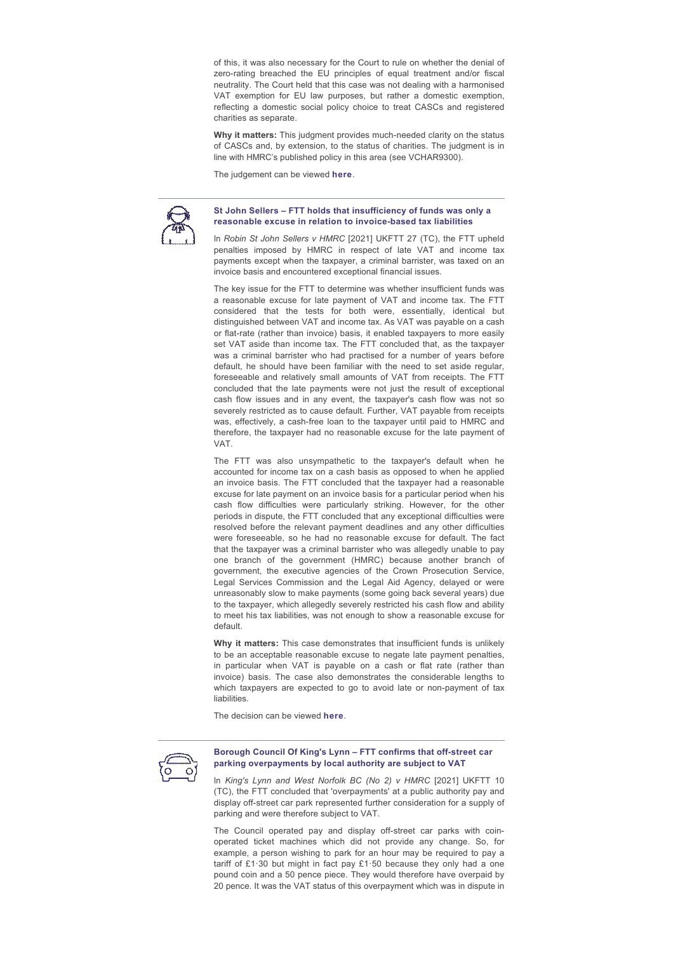of this, it was also necessary for the Court to rule on whether the denial of zero-rating breached the EU principles of equal treatment and/or fiscal neutrality. The Court held that this case was not dealing with a harmonised VAT exemption for EU law purposes, but rather a domestic exemption, reflecting a domestic social policy choice to treat CASCs and registered charities as separate.

Why it matters: This judgment provides much-needed clarity on the status of CASCs and, by extension, to the status of charities. The judgment is in line with HMRC's published policy in this area (see VCHAR9300).

The judgement can be viewed **[here](https://www.bailii.org/ew/cases/EWCA/Civ/2021/225.pdf)**.



#### **St John Sellers – FTT holds that insufficiency of funds was only a**  reasonable excuse in relation to invoice-based tax liabilities

In *Robin St John Sellers v HMRC* [2021] UKFTT 27 (TC), the FTT upheld penalties imposed by HMRC in respect of late VAT and income tax payments except when the taxpayer, a criminal barrister, was taxed on an invoice basis and encountered exceptional financial issues.

The key issue for the FTT to determine was whether insufficient funds was a reasonable excuse for late payment of VAT and income tax. The FTT considered that the tests for both were, essentially, identical but distinguished between VAT and income tax. As VAT was payable on a cash or flat-rate (rather than invoice) basis, it enabled taxpayers to more easily set VAT aside than income tax. The FTT concluded that, as the taxpayer was a criminal barrister who had practised for a number of vears before default, he should have been familiar with the need to set aside regular, foreseeable and relatively small amounts of VAT from receipts. The FTT concluded that the late payments were not just the result of exceptional cash flow issues and in any event, the taxpayer's cash flow was not so severely restricted as to cause default. Further, VAT payable from receipts was, effectively, a cash-free loan to the taxpayer until paid to HMRC and therefore, the taxpayer had no reasonable excuse for the late payment of VAT.

The FTT was also unsympathetic to the taxpayer's default when he accounted for income tax on a cash basis as opposed to when he applied an invoice basis. The FTT concluded that the taxpayer had a reasonable excuse for late payment on an invoice basis for a particular period when his cash flow difficulties were particularly striking. However, for the other periods in dispute, the FTT concluded that any exceptional difficulties were resolved before the relevant payment deadlines and any other difficulties were foreseeable, so he had no reasonable excuse for default. The fact that the taxpayer was a criminal barrister who was allegedly unable to pay one branch of the government (HMRC) because another branch of government, the executive agencies of the Crown Prosecution Service, Legal Services Commission and the Legal Aid Agency, delayed or were unreasonably slow to make payments (some going back several years) due to the taxpayer, which allegedly severely restricted his cash flow and ability to meet his tax liabilities, was not enough to show a reasonable excuse for default.

**Why it matters:** This case demonstrates that insufficient funds is unlikely to be an acceptable reasonable excuse to negate late payment penalties, in particular when VAT is payable on a cash or flat rate (rather than invoice) basis. The case also demonstrates the considerable lengths to which taxpayers are expected to go to avoid late or non-payment of tax liabilities.

The decision can be viewed **[here](https://www.bailii.org/uk/cases/UKFTT/TC/2021/TC08014.pdf)**.



#### **Borough Council Of King's Lynn – FTT confirms that off-street car parking overpayments by local authority are subject to VAT**

In *King's Lynn and West Norfolk BC (No 2) v HMRC* [2021] UKFTT 10 (TC), the FTT concluded that 'overpayments' at a public authority pay and display off-street car park represented further consideration for a supply of parking and were therefore subject to VAT.

The Council operated pay and display off-street car parks with coinoperated ticket machines which did not provide any change. So, for example, a person wishing to park for an hour may be required to pay a tariff of  $£1·30$  but might in fact pay  $£1·50$  because they only had a one pound coin and a 50 pence piece. They would therefore have overpaid by 20 pence. It was the VAT status of this overpayment which was in dispute in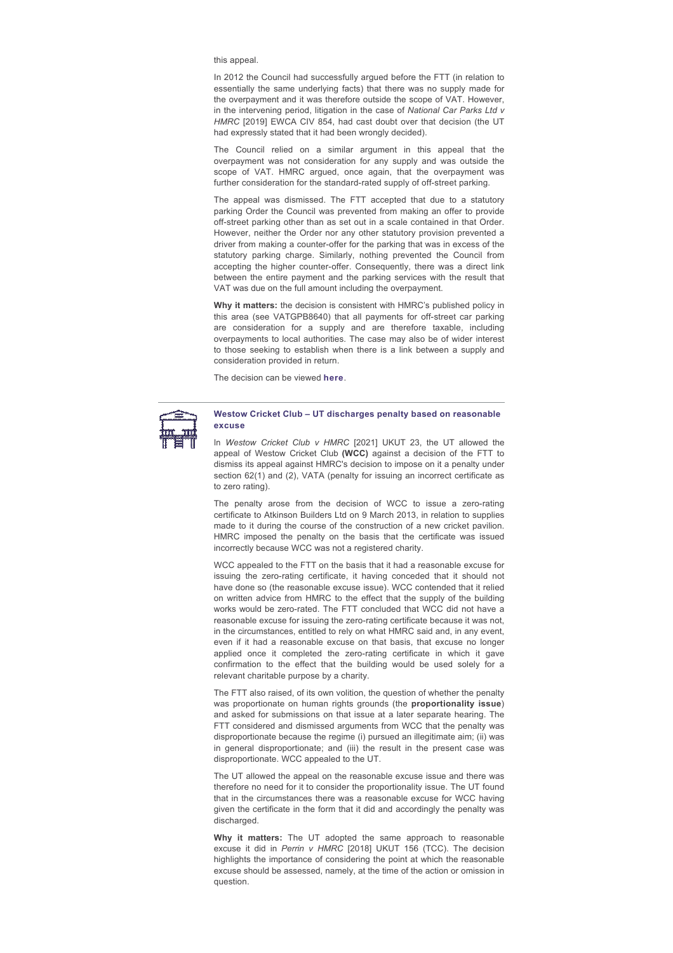this appeal.

In 2012 the Council had successfully argued before the FTT (in relation to essentially the same underlying facts) that there was no supply made for the overpayment and it was therefore outside the scope of VAT. However, in the intervening period, litigation in the case of *National Car Parks Ltd v HMRC* [2019] EWCA CIV 854, had cast doubt over that decision (the UT had expressly stated that it had been wrongly decided).

The Council relied on a similar argument in this appeal that the overpayment was not consideration for any supply and was outside the scope of VAT. HMRC arqued, once again, that the overpayment was further consideration for the standard-rated supply of off-street parking.

The appeal was dismissed. The FTT accepted that due to a statutory parking Order the Council was prevented from making an offer to provide off-street parking other than as set out in a scale contained in that Order. However, neither the Order nor any other statutory provision prevented a driver from making a counter-offer for the parking that was in excess of the statutory parking charge. Similarly, nothing prevented the Council from accepting the higher counter-offer. Consequently, there was a direct link between the entire payment and the parking services with the result that VAT was due on the full amount including the overpayment.

**Why it matters:** the decision is consistent with HMRC's published policy in this area (see VATGPB8640) that all payments for off-street car parking are consideration for a supply and are therefore taxable, including overpayments to local authorities. The case may also be of wider interest to those seeking to establish when there is a link between a supply and consideration provided in return.

The decision can be viewed **[here](https://www.bailii.org/uk/cases/UKFTT/TC/2021/TC07996.pdf)**.



**Westow Cricket Club – UT discharges penalty based on reasonable excuse**

In *Westow Cricket Club v HMRC* [2021] UKUT 23, the UT allowed the appeal of Westow Cricket Club **(WCC)** against a decision of the FTT to dismiss its appeal against HMRC's decision to impose on it a penalty under section 62(1) and (2), VATA (penalty for issuing an incorrect certificate as to zero rating).

The penalty arose from the decision of WCC to issue a zero-rating certificate to Atkinson Builders Ltd on 9 March 2013, in relation to supplies made to it during the course of the construction of a new cricket pavilion. HMRC imposed the penalty on the basis that the certificate was issued incorrectly because WCC was not a registered charity.

WCC appealed to the FTT on the basis that it had a reasonable excuse for issuing the zero-rating certificate, it having conceded that it should not have done so (the reasonable excuse issue). WCC contended that it relied on written advice from HMRC to the effect that the supply of the building works would be zero-rated. The FTT concluded that WCC did not have a reasonable excuse for issuing the zero-rating certificate because it was not, in the circumstances, entitled to rely on what HMRC said and, in any event, even if it had a reasonable excuse on that basis, that excuse no longer applied once it completed the zero-rating certificate in which it gave confirmation to the effect that the building would be used solely for a relevant charitable purpose by a charity.

The FTT also raised, of its own volition, the question of whether the penalty was proportionate on human rights grounds (the **proportionality issue**) and asked for submissions on that issue at a later separate hearing. The FTT considered and dismissed arguments from WCC that the penalty was disproportionate because the regime (i) pursued an illegitimate aim; (ii) was in general disproportionate; and (iii) the result in the present case was disproportionate. WCC appealed to the UT.

The UT allowed the appeal on the reasonable excuse issue and there was therefore no need for it to consider the proportionality issue. The UT found that in the circumstances there was a reasonable excuse for WCC having given the certificate in the form that it did and accordingly the penalty was discharged.

**Why it matters:** The UT adopted the same approach to reasonable excuse it did in Perrin v HMRC [2018] UKUT 156 (TCC). The decision highlights the importance of considering the point at which the reasonable excuse should be assessed, namely, at the time of the action or omission in question.